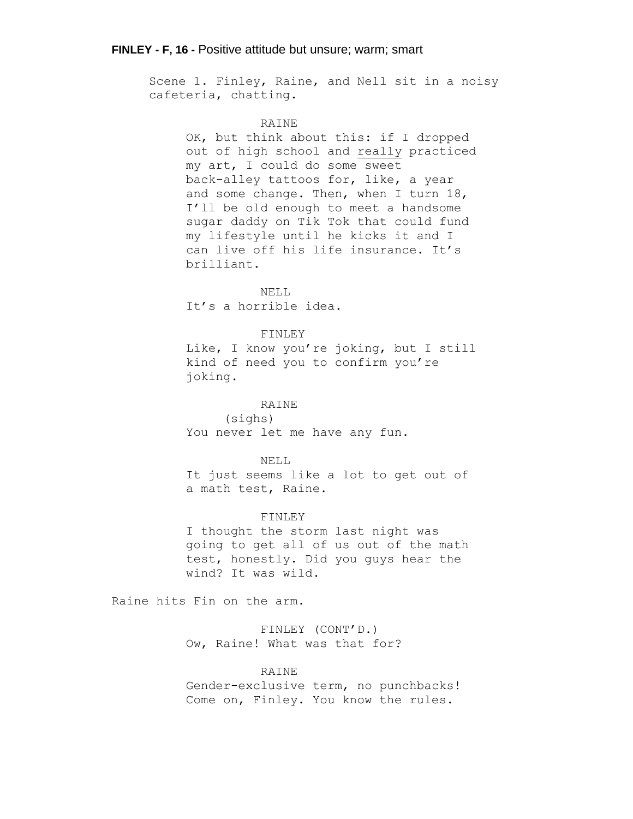## **FINLEY - F, 16 -** Positive attitude but unsure; warm; smart

Scene 1. Finley, Raine, and Nell sit in a noisy cafeteria, chatting.

#### RAINE

OK, but think about this: if I dropped out of high school and really practiced my art, I could do some sweet back-alley tattoos for, like, a year and some change. Then, when I turn 18, I'll be old enough to meet a handsome sugar daddy on Tik Tok that could fund my lifestyle until he kicks it and I can live off his life insurance. It's brilliant.

NELL It's a horrible idea.

#### FINLEY

Like, I know you're joking, but I still kind of need you to confirm you're joking.

## RAINE

(sighs) You never let me have any fun.

#### NELL

It just seems like a lot to get out of a math test, Raine.

#### FINLEY

I thought the storm last night was going to get all of us out of the math test, honestly. Did you guys hear the wind? It was wild.

Raine hits Fin on the arm.

FINLEY (CONT'D.) Ow, Raine! What was that for?

## RAINE

Gender-exclusive term, no punchbacks! Come on, Finley. You know the rules.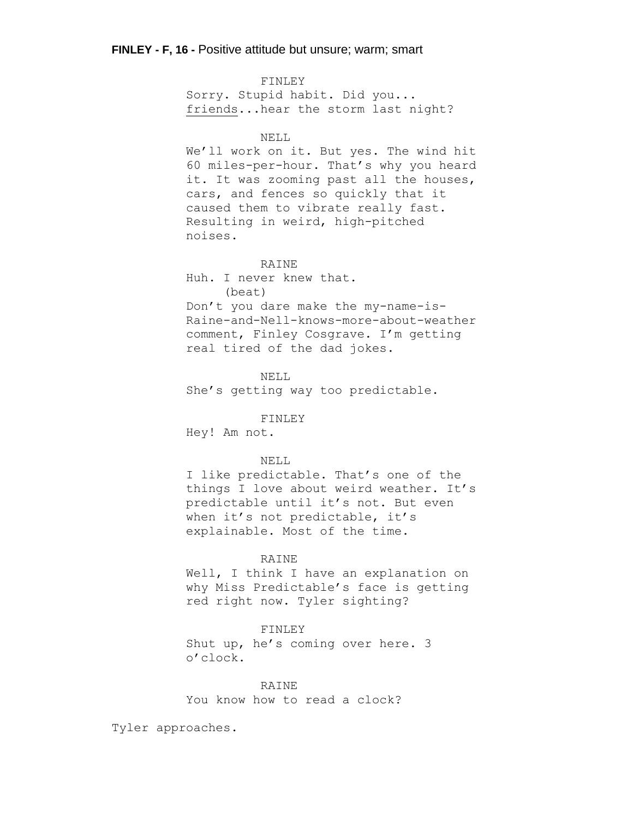FINLEY Sorry. Stupid habit. Did you... friends...hear the storm last night? NELL We'll work on it. But yes. The wind hit 60 miles-per-hour. That's why you heard it. It was zooming past all the houses, cars, and fences so quickly that it caused them to vibrate really fast. Resulting in weird, high-pitched noises. RAINE Huh. I never knew that. (beat) Don't you dare make the my-name-is-Raine-and-Nell-knows-more-about-weather comment, Finley Cosgrave. I'm getting real tired of the dad jokes. NELL She's getting way too predictable. FINLEY Hey! Am not. NELL I like predictable. That's one of the things I love about weird weather. It's predictable until it's not. But even when it's not predictable, it's explainable. Most of the time. RAINE Well, I think I have an explanation on why Miss Predictable's face is getting red right now. Tyler sighting? FINLEY

Shut up, he's coming over here. 3 o'clock.

RAINE

You know how to read a clock?

Tyler approaches.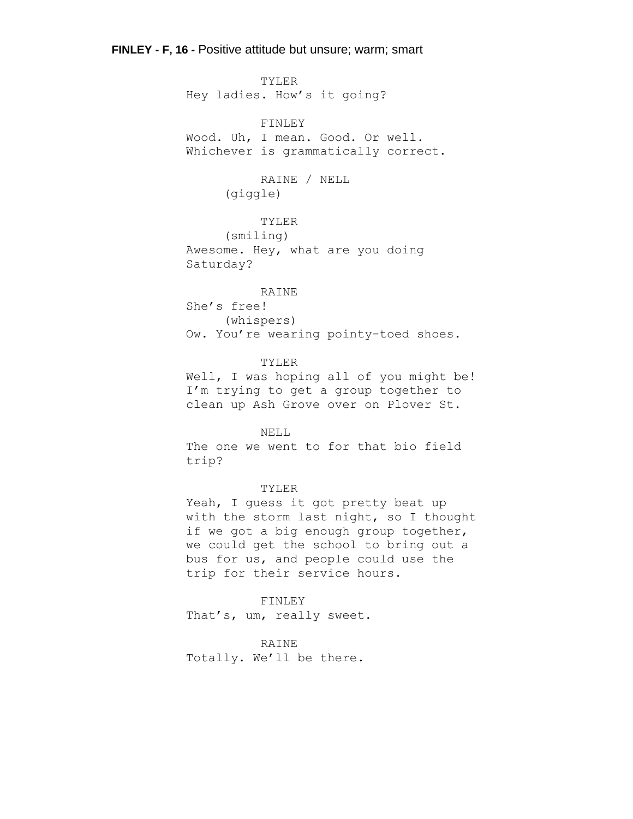## **FINLEY - F, 16 -** Positive attitude but unsure; warm; smart

TYLER Hey ladies. How's it going?

FINLEY Wood. Uh, I mean. Good. Or well. Whichever is grammatically correct.

> RAINE / NELL (giggle)

# TYLER

(smiling) Awesome. Hey, what are you doing Saturday?

## RAINE

She's free! (whispers) Ow. You're wearing pointy-toed shoes.

#### TYLER

Well, I was hoping all of you might be! I'm trying to get a group together to clean up Ash Grove over on Plover St.

## NELL

The one we went to for that bio field trip?

## TYLER

Yeah, I guess it got pretty beat up with the storm last night, so I thought if we got a big enough group together, we could get the school to bring out a bus for us, and people could use the trip for their service hours.

FINLEY That's, um, really sweet.

RAINE

Totally. We'll be there.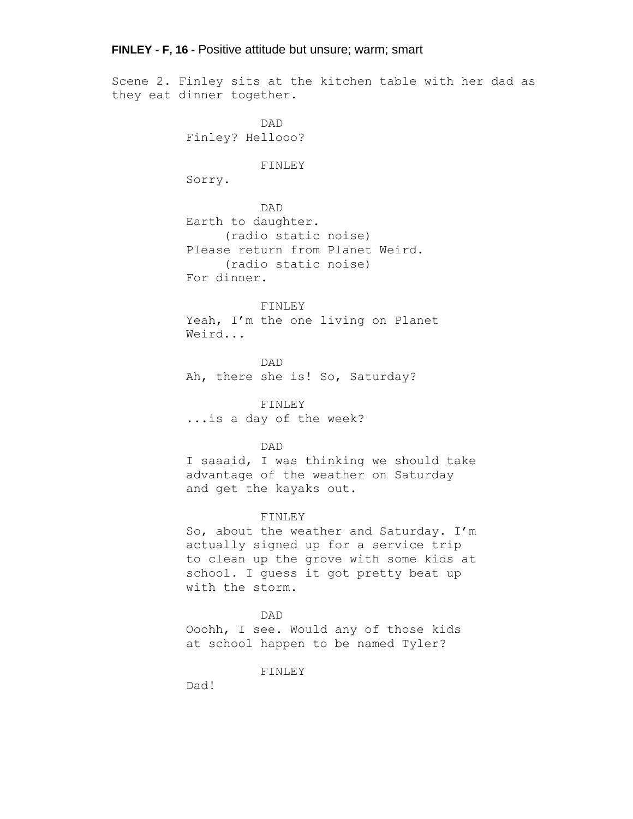## **FINLEY - F, 16 -** Positive attitude but unsure; warm; smart

Scene 2. Finley sits at the kitchen table with her dad as they eat dinner together. DAD Finley? Hellooo? FINLEY Sorry. DAD Earth to daughter. (radio static noise) Please return from Planet Weird. (radio static noise) For dinner. FINLEY Yeah, I'm the one living on Planet Weird...

> DAD Ah, there she is! So, Saturday?

FINLEY ...is a day of the week?

DAD

I saaaid, I was thinking we should take advantage of the weather on Saturday and get the kayaks out.

#### FINLEY

So, about the weather and Saturday. I'm actually signed up for a service trip to clean up the grove with some kids at school. I guess it got pretty beat up with the storm.

DAD

Ooohh, I see. Would any of those kids at school happen to be named Tyler?

FINLEY

Dad!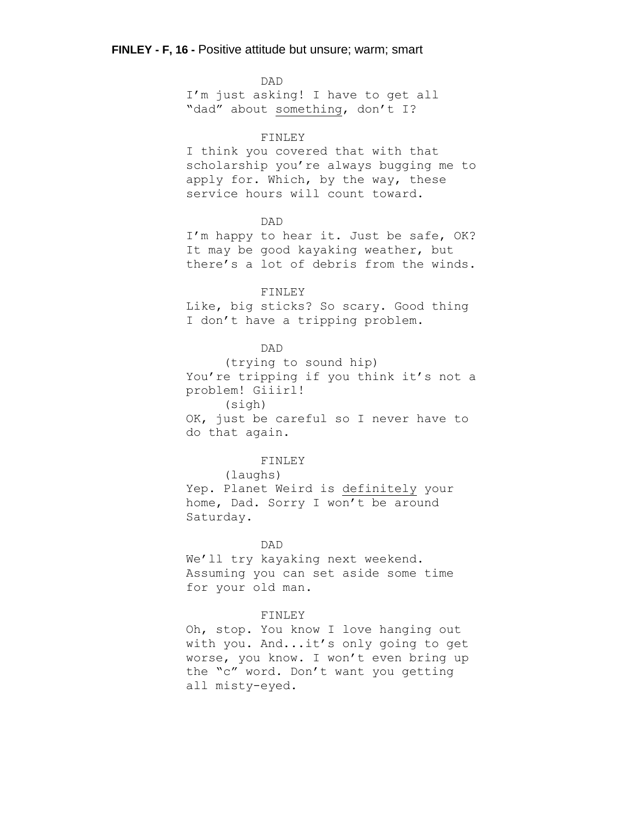DAD I'm just asking! I have to get all "dad" about something, don't I?

#### FINLEY

I think you covered that with that scholarship you're always bugging me to apply for. Which, by the way, these service hours will count toward.

#### DAD

I'm happy to hear it. Just be safe, OK? It may be good kayaking weather, but there's a lot of debris from the winds.

## FINLEY

Like, big sticks? So scary. Good thing I don't have a tripping problem.

## DAD

(trying to sound hip) You're tripping if you think it's not a problem! Giiirl! (sigh) OK, just be careful so I never have to do that again.

#### FINLEY

(laughs) Yep. Planet Weird is definitely your home, Dad. Sorry I won't be around Saturday.

#### DAD

We'll try kayaking next weekend. Assuming you can set aside some time for your old man.

### FINLEY

Oh, stop. You know I love hanging out with you. And...it's only going to get worse, you know. I won't even bring up the "c" word. Don't want you getting all misty-eyed.